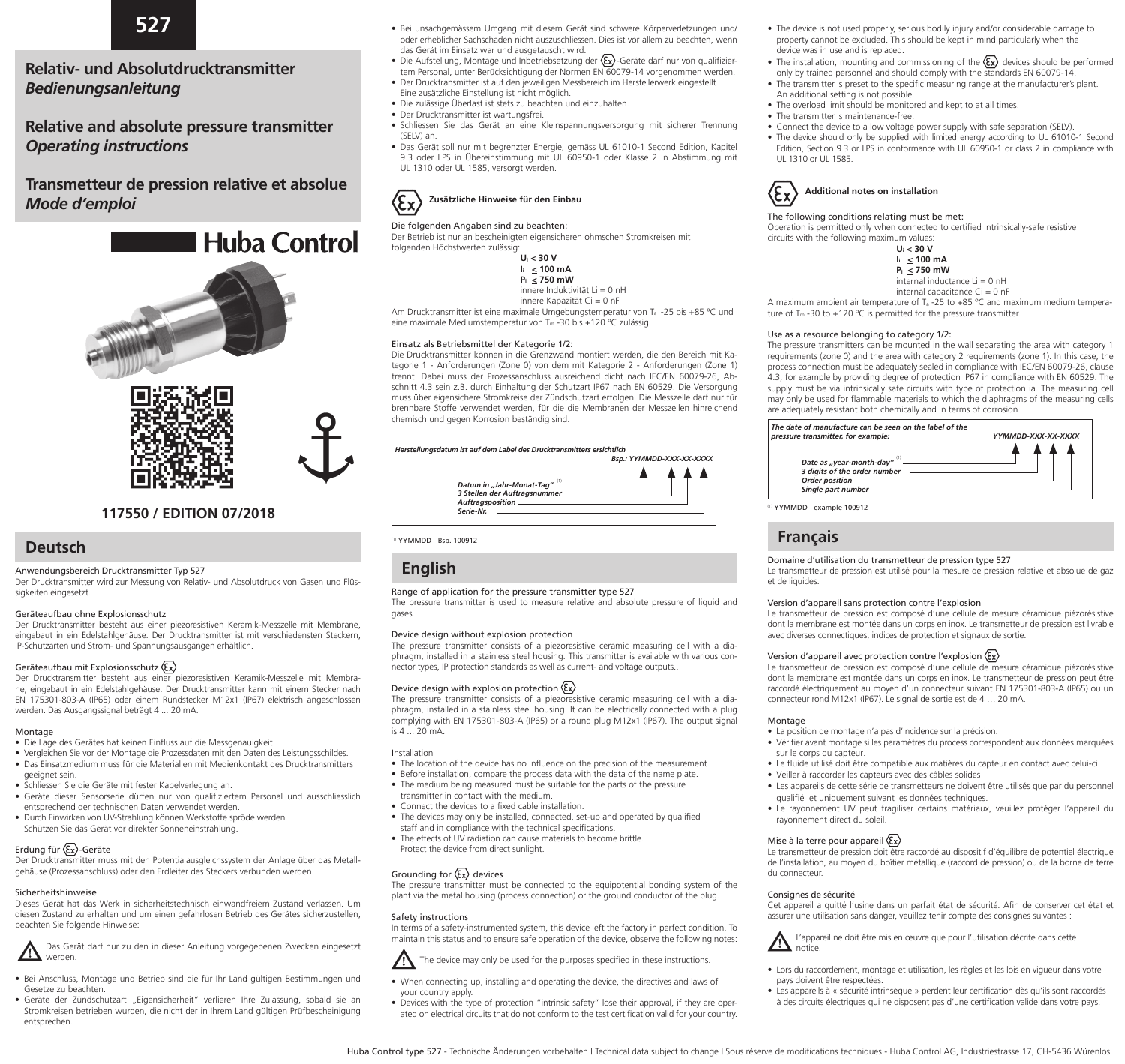

**Relativ- und Absolutdrucktransmitter** *Bedienungsanleitung* 

**Relative and absolute pressure transmitter**  *Operating instructions*

**Transmetteur de pression relative et absolue** *Mode d'emploi*







## **117550 / EDITION 07/2018**

# **Deutsch**

Anwendungsbereich Drucktransmitter Typ 527

Der Drucktransmitter wird zur Messung von Relativ- und Absolutdruck von Gasen und Flüssigkeiten eingesetzt.

## Geräteaufbau ohne Explosionsschutz

Der Drucktransmitter besteht aus einer piezoresistiven Keramik-Messzelle mit Membrane, eingebaut in ein Edelstahlgehäuse. Der Drucktransmitter ist mit verschiedensten Steckern, IP-Schutzarten und Strom- und Spannungsausgängen erhältlich.

#### Geräteaufbau mit Explosionsschutz (Ex)

Der Drucktransmitter besteht aus einer piezoresistiven Keramik-Messzelle mit Membrane, eingebaut in ein Edelstahlgehäuse. Der Drucktransmitter kann mit einem Stecker nach EN 175301-803-A (IP65) oder einem Rundstecker M12x1 (IP67) elektrisch angeschlossen werden. Das Ausgangssignal beträgt 4 ... 20 mA.

#### Montage

• Die Lage des Gerätes hat keinen Einfluss auf die Messgenauigkeit.

- • Vergleichen Sie vor der Montage die Prozessdaten mit den Daten des Leistungsschildes.
- • Das Einsatzmedium muss für die Materialien mit Medienkontakt des Drucktransmitters
- geeignet sein. • Schliessen Sie die Geräte mit fester Kabelverlegung an.
- 
- • Geräte dieser Sensorserie dürfen nur von qualifiziertem Personal und ausschliesslich entsprechend der technischen Daten verwendet werden.
- • Durch Einwirken von UV-Strahlung können Werkstoffe spröde werden. Schützen Sie das Gerät vor direkter Sonneneinstrahlung.

## Erdung für  $\langle \overline{\epsilon} x \rangle$ -Geräte

Der Drucktransmitter muss mit den Potentialausgleichssystem der Anlage über das Metallgehäuse (Prozessanschluss) oder den Erdleiter des Steckers verbunden werden.

#### Sicherheitshinweise

Dieses Gerät hat das Werk in sicherheitstechnisch einwandfreiem Zustand verlassen. Um diesen Zustand zu erhalten und um einen gefahrlosen Betrieb des Gerätes sicherzustellen, beachten Sie folgende Hinweise:

Das Gerät darf nur zu den in dieser Anleitung vorgegebenen Zwecken eingesetzt ЛΝ werden.

- • Bei Anschluss, Montage und Betrieb sind die für Ihr Land gültigen Bestimmungen und Gesetze zu beachten.
- Geräte der Zündschutzart "Eigensicherheit" verlieren Ihre Zulassung, sobald sie an Stromkreisen betrieben wurden, die nicht der in Ihrem Land gültigen Prüfbescheinigung entsprechen.
- • Bei unsachgemässem Umgang mit diesem Gerät sind schwere Körperverletzungen und/ oder erheblicher Sachschaden nicht auszuschliessen. Dies ist vor allem zu beachten, wenn das Gerät im Einsatz war und ausgetauscht wird.
- Die Aufstellung, Montage und Inbetriebsetzung der  $\langle \epsilon_{\mathbf{x}} \rangle$ -Geräte darf nur von qualifizier- tem Personal, unter Berücksichtigung der Normen EN 60079-14 vorgenommen werden.
- • Der Drucktransmitter ist auf den jeweiligen Messbereich im Herstellerwerk eingestellt. Eine zusätzliche Einstellung ist nicht möglich.
- Die zulässige Überlast ist stets zu beachten und einzuhalten.
- Der Drucktransmitter ist wartungsfrei.
- Schliessen Sie das Gerät an eine Kleinspannungsversorgung mit sicherer Trennung (SELV) an.
- • Das Gerät soll nur mit begrenzter Energie, gemäss UL 61010-1 Second Edition, Kapitel 9.3 oder LPS in Übereinstimmung mit UL 60950-1 oder Klasse 2 in Abstimmung mit UL 1310 oder UL 1585, versorgt werden.

## Œχ **Zusätzliche Hinweise für den Einbau**

#### Die folgenden Angaben sind zu beachten:

Der Betrieb ist nur an bescheinigten eigensicheren ohmschen Stromkreisen mit folgenden Höchstwerten zulässig:

 $\mathbf{U_i}$  < 30 V  $I_i$  < 100 mA

 **Pi < 750 mW**

innere Induktivität Li = 0 nH

innere Kapazität Ci = 0 nF

Am Drucktransmitter ist eine maximale Umgebungstemperatur von T<sub>a</sub> -25 bis +85 °C und eine maximale Mediumstemperatur von T<sub>m</sub> -30 bis +120 °C zulässig.

## Einsatz als Betriebsmittel der Kategorie 1/2:

Die Drucktransmitter können in die Grenzwand montiert werden, die den Bereich mit Kategorie 1 - Anforderungen (Zone 0) von dem mit Kategorie 2 - Anforderungen (Zone 1) trennt. Dabei muss der Prozessanschluss ausreichend dicht nach IEC/EN 60079-26, Abschnitt 4.3 sein z.B. durch Einhaltung der Schutzart IP67 nach EN 60529. Die Versorgung muss über eigensichere Stromkreise der Zündschutzart erfolgen. Die Messzelle darf nur für brennbare Stoffe verwendet werden, für die die Membranen der Messzellen hinreichend chemisch und gegen Korrosion beständig sind.

| Herstellungsdatum ist auf dem Label des Drucktransmitters ersichtlich  | Bsp.: YYMMDD-XXX-XX-XXXX |
|------------------------------------------------------------------------|--------------------------|
| Datum in "Jahr-Monat-Tag"<br>3 Stellen der Auftragsnummer<br>Serie-Nr. |                          |

(1) YYMMDD - Bsp. 100912

# **English**

#### Range of application for the pressure transmitter type 527

The pressure transmitter is used to measure relative and absolute pressure of liquid and gases.

#### Device design without explosion protection

The pressure transmitter consists of a piezoresistive ceramic measuring cell with a diaphragm, installed in a stainless steel housing. This transmitter is available with various connector types, IP protection standards as well as current- and voltage outputs..

#### Device design with explosion protection  $\langle \epsilon_{\mathbf{x}} \rangle$

The pressure transmitter consists of a piezoresistive ceramic measuring cell with a diaphragm, installed in a stainless steel housing. It can be electrically connected with a plug complying with EN 175301-803-A (IP65) or a round plug M12x1 (IP67). The output signal  $i \in A$  ... 20 m  $\Delta$ 

## Installation

- The location of the device has no influence on the precision of the measurement.
- Before installation, compare the process data with the data of the name plate.
- The medium being measured must be suitable for the parts of the pressure
- transmitter in contact with the medium. • Connect the devices to a fixed cable installation.
- The devices may only be installed, connected, set-up and operated by qualified
- staff and in compliance with the technical specifications.
- The effects of UV radiation can cause materials to become brittle. Protect the device from direct sunlight.

## Grounding for  $\langle \overline{\xi_x} \rangle$  devices

The pressure transmitter must be connected to the equipotential bonding system of the plant via the metal housing (process connection) or the ground conductor of the plug.

#### Safety instructions

In terms of a safety-instrumented system, this device left the factory in perfect condition. To maintain this status and to ensure safe operation of the device, observe the following notes:

Λ The device may only be used for the purposes specified in these instructions.

- • When connecting up, installing and operating the device, the directives and laws of your country apply.
- Devices with the type of protection "intrinsic safety" lose their approval, if they are oper- ated on electrical circuits that do not conform to the test certification valid for your country.
- The device is not used properly, serious bodily injury and/or considerable damage to property cannot be excluded. This should be kept in mind particularly when the device was in use and is replaced.
- The installation, mounting and commissioning of the  $\langle \overline{\epsilon_{x}} \rangle$  devices should be performed only by trained personnel and should comply with the standards EN 60079-14.
- The transmitter is preset to the specific measuring range at the manufacturer's plant. An additional setting is not possible.
- The overload limit should be monitored and kept to at all times.
- The transmitter is maintenance-free.
- Connect the device to a low voltage power supply with safe separation (SELV).
- The device should only be supplied with limited energy according to UL 61010-1 Second Edition, Section 9.3 or LPS in conformance with UL 60950-1 or class 2 in compliance with UL 1310 or UL 1585.



#### The following conditions relating must be met:

Operation is permitted only when connected to certified intrinsically-safe resistive circuits with the following maximum values:

 $U_i \leq 30$  V  $I_i \leq 100 \text{ mA}$  $P_i \le 750$  mW

 $internal$  inductance  $Li = 0$  nH internal capacitance Ci = 0 nF

A maximum ambient air temperature of T. -25 to +85 °C and maximum medium temperature of T<sub>m</sub> -30 to +120 °C is permitted for the pressure transmitter.

## Use as a resource belonging to category 1/2:

The pressure transmitters can be mounted in the wall separating the area with category 1 requirements (zone 0) and the area with category 2 requirements (zone 1). In this case, the process connection must be adequately sealed in compliance with IEC/EN 60079-26, clause 4.3, for example by providing degree of protection IP67 in compliance with EN 60529. The supply must be via intrinsically safe circuits with type of protection ia. The measuring cell may only be used for flammable materials to which the diaphragms of the measuring cells are adequately resistant both chemically and in terms of corrosion.

| The date of manufacture can be seen on the label of the<br>pressure transmitter, for example:           | YYMMDD-XXX-XX-XXXX |
|---------------------------------------------------------------------------------------------------------|--------------------|
| Date as "year-month-day"<br>3 diaits of the order number<br><b>Order position</b><br>Single part number |                    |

(1) YYMMDD - example 100912

# **Français**

Domaine d'utilisation du transmetteur de pression type 527

Le transmetteur de pression est utilisé pour la mesure de pression relative et absolue de gaz et de liquides.

#### Version d'appareil sans protection contre l'explosion

Le transmetteur de pression est composé d'une cellule de mesure céramique piézorésistive dont la membrane est montée dans un corps en inox. Le transmetteur de pression est livrable avec diverses connectiques, indices de protection et signaux de sortie.

#### Version d'appareil avec protection contre l'explosion

Le transmetteur de pression est composé d'une cellule de mesure céramique piézorésistive dont la membrane est montée dans un corps en inox. Le transmetteur de pression peut être raccordé électriquement au moyen d'un connecteur suivant EN 175301-803-A (IP65) ou un connecteur rond M12x1 (IP67). Le signal de sortie est de 4 … 20 mA.

## Montage

du connecteur. Consignes de sécurité

 $\mathbf{n}$   $\mathbf{n}$ 

Huba Control type 527 - Technische Änderungen vorbehalten | Technical data subject to change | Sous réserve de modifications techniques - Huba Control AG, Industriestrasse 17, CH-5436 Würenlos

• La position de montage n'a pas d'incidence sur la précision.

 qualifié et uniquement suivant les données techniques.

rayonnement direct du soleil. Mise à la terre pour appareil  $\langle \overline{\xi_x} \rangle$ 

 pays doivent être respectées.

- • Vérifier avant montage si les paramètres du process correspondent aux données marquées sur le corps du capteur.
- • Le fluide utilisé doit être compatible aux matières du capteur en contact avec celui-ci.
- • Veiller à raccorder les capteurs avec des câbles solides • Les appareils de cette série de transmetteurs ne doivent être utilisés que par du personnel • Le rayonnement UV peut fragiliser certains matériaux, veuillez protéger l'appareil du

Le transmetteur de pression doit être raccordé au dispositif d'équilibre de potentiel électrique de l'installation, au moyen du boîtier métallique (raccord de pression) ou de la borne de terre

Cet appareil a quitté l'usine dans un parfait état de sécurité. Afin de conserver cet état et assurer une utilisation sans danger, veuillez tenir compte des consignes suivantes : L'appareil ne doit être mis en œuvre que pour l'utilisation décrite dans cette

• Lors du raccordement, montage et utilisation, les règles et les lois en vigueur dans votre

• Les appareils à « sécurité intrinsèque » perdent leur certification dès qu'ils sont raccordés à des circuits électriques qui ne disposent pas d'une certification valide dans votre pays.